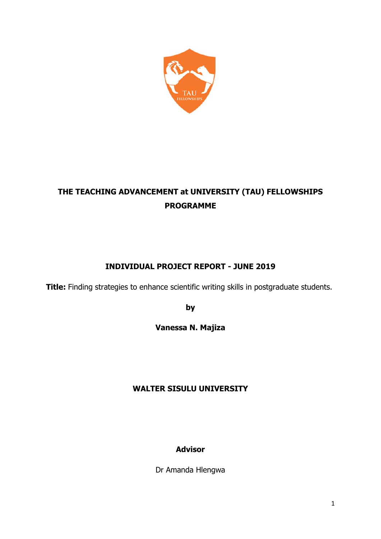

# **THE TEACHING ADVANCEMENT at UNIVERSITY (TAU) FELLOWSHIPS PROGRAMME**

# **INDIVIDUAL PROJECT REPORT - JUNE 2019**

**Title:** Finding strategies to enhance scientific writing skills in postgraduate students.

**by**

**Vanessa N. Majiza**

# **WALTER SISULU UNIVERSITY**

# **Advisor**

Dr Amanda Hlengwa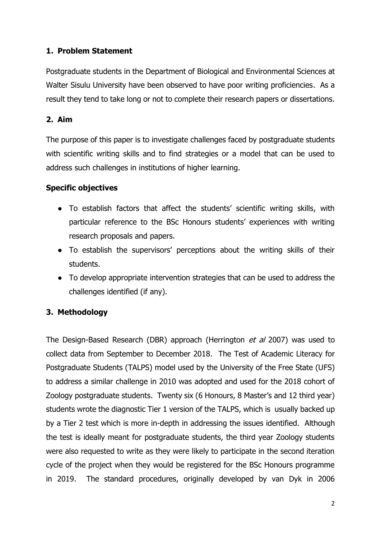# **1. Problem Statement**

Postgraduate students in the Department of Biological and Environmental Sciences at Walter Sisulu University have been observed to have poor writing proficiencies. As a result they tend to take long or not to complete their research papers or dissertations.

## **2. Aim**

The purpose of this paper is to investigate challenges faced by postgraduate students with scientific writing skills and to find strategies or a model that can be used to address such challenges in institutions of higher learning.

### **Specific objectives**

- To establish factors that affect the students' scientific writing skills, with particular reference to the BSc Honours students' experiences with writing research proposals and papers.
- To establish the supervisors' perceptions about the writing skills of their students.
- To develop appropriate intervention strategies that can be used to address the challenges identified (if any).

# **3. Methodology**

The Design-Based Research (DBR) approach (Herrington *et al* 2007) was used to collect data from September to December 2018. The Test of Academic Literacy for Postgraduate Students (TALPS) model used by the University of the Free State (UFS) to address a similar challenge in 2010 was adopted and used for the 2018 cohort of Zoology postgraduate students. Twenty six (6 Honours, 8 Master's and 12 third year) students wrote the diagnostic Tier 1 version of the TALPS, which is usually backed up by a Tier 2 test which is more in-depth in addressing the issues identified. Although the test is ideally meant for postgraduate students, the third year Zoology students were also requested to write as they were likely to participate in the second iteration cycle of the project when they would be registered for the BSc Honours programme in 2019. The standard procedures, originally developed by van Dyk in 2006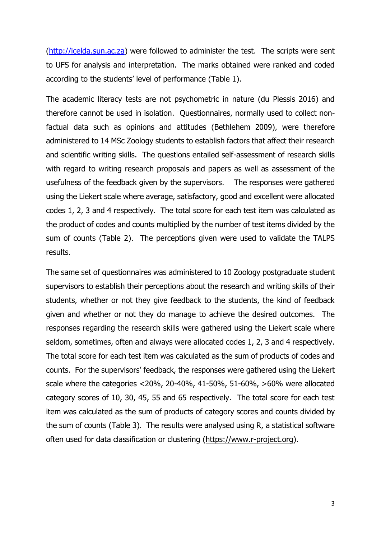[\(http://icelda.sun.ac.za\)](http://icelda.sun.ac.za/) were followed to administer the test. The scripts were sent to UFS for analysis and interpretation. The marks obtained were ranked and coded according to the students' level of performance (Table 1).

The academic literacy tests are not psychometric in nature (du Plessis 2016) and therefore cannot be used in isolation. Questionnaires, normally used to collect nonfactual data such as opinions and attitudes (Bethlehem 2009), were therefore administered to 14 MSc Zoology students to establish factors that affect their research and scientific writing skills. The questions entailed self-assessment of research skills with regard to writing research proposals and papers as well as assessment of the usefulness of the feedback given by the supervisors. The responses were gathered using the Liekert scale where average, satisfactory, good and excellent were allocated codes 1, 2, 3 and 4 respectively. The total score for each test item was calculated as the product of codes and counts multiplied by the number of test items divided by the sum of counts (Table 2). The perceptions given were used to validate the TALPS results.

The same set of questionnaires was administered to 10 Zoology postgraduate student supervisors to establish their perceptions about the research and writing skills of their students, whether or not they give feedback to the students, the kind of feedback given and whether or not they do manage to achieve the desired outcomes. The responses regarding the research skills were gathered using the Liekert scale where seldom, sometimes, often and always were allocated codes 1, 2, 3 and 4 respectively. The total score for each test item was calculated as the sum of products of codes and counts. For the supervisors' feedback, the responses were gathered using the Liekert scale where the categories <20%, 20-40%, 41-50%, 51-60%, >60% were allocated category scores of 10, 30, 45, 55 and 65 respectively. The total score for each test item was calculated as the sum of products of category scores and counts divided by the sum of counts (Table 3). The results were analysed using R, a statistical software often used for data classification or clustering [\(https://www.r-project.org\)](https://www.r-project.org/).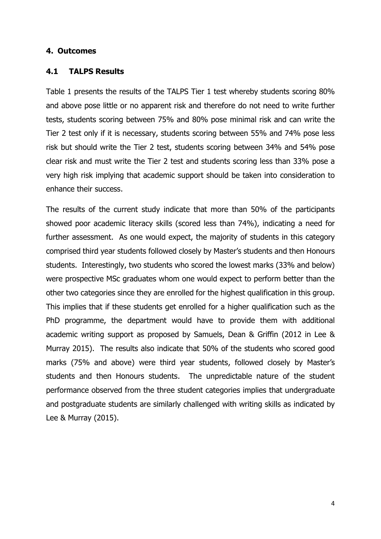#### **4. Outcomes**

#### **4.1 TALPS Results**

Table 1 presents the results of the TALPS Tier 1 test whereby students scoring 80% and above pose little or no apparent risk and therefore do not need to write further tests, students scoring between 75% and 80% pose minimal risk and can write the Tier 2 test only if it is necessary, students scoring between 55% and 74% pose less risk but should write the Tier 2 test, students scoring between 34% and 54% pose clear risk and must write the Tier 2 test and students scoring less than 33% pose a very high risk implying that academic support should be taken into consideration to enhance their success.

The results of the current study indicate that more than 50% of the participants showed poor academic literacy skills (scored less than 74%), indicating a need for further assessment. As one would expect, the majority of students in this category comprised third year students followed closely by Master's students and then Honours students. Interestingly, two students who scored the lowest marks (33% and below) were prospective MSc graduates whom one would expect to perform better than the other two categories since they are enrolled for the highest qualification in this group. This implies that if these students get enrolled for a higher qualification such as the PhD programme, the department would have to provide them with additional academic writing support as proposed by Samuels, Dean & Griffin (2012 in Lee & Murray 2015). The results also indicate that 50% of the students who scored good marks (75% and above) were third year students, followed closely by Master's students and then Honours students. The unpredictable nature of the student performance observed from the three student categories implies that undergraduate and postgraduate students are similarly challenged with writing skills as indicated by Lee & Murray (2015).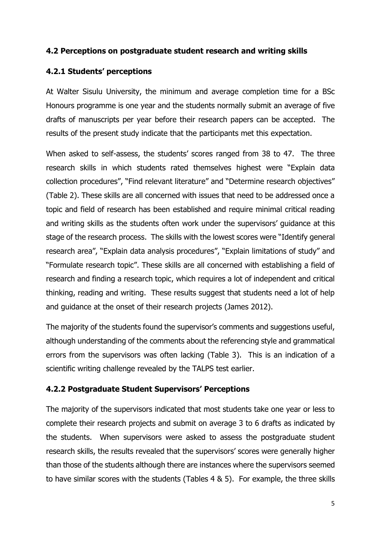### **4.2 Perceptions on postgraduate student research and writing skills**

## **4.2.1 Students' perceptions**

At Walter Sisulu University, the minimum and average completion time for a BSc Honours programme is one year and the students normally submit an average of five drafts of manuscripts per year before their research papers can be accepted. The results of the present study indicate that the participants met this expectation.

When asked to self-assess, the students' scores ranged from 38 to 47. The three research skills in which students rated themselves highest were "Explain data collection procedures", "Find relevant literature" and "Determine research objectives" (Table 2). These skills are all concerned with issues that need to be addressed once a topic and field of research has been established and require minimal critical reading and writing skills as the students often work under the supervisors' guidance at this stage of the research process. The skills with the lowest scores were "Identify general research area", "Explain data analysis procedures", "Explain limitations of study" and "Formulate research topic". These skills are all concerned with establishing a field of research and finding a research topic, which requires a lot of independent and critical thinking, reading and writing. These results suggest that students need a lot of help and guidance at the onset of their research projects (James 2012).

The majority of the students found the supervisor's comments and suggestions useful, although understanding of the comments about the referencing style and grammatical errors from the supervisors was often lacking (Table 3). This is an indication of a scientific writing challenge revealed by the TALPS test earlier.

### **4.2.2 Postgraduate Student Supervisors' Perceptions**

The majority of the supervisors indicated that most students take one year or less to complete their research projects and submit on average 3 to 6 drafts as indicated by the students. When supervisors were asked to assess the postgraduate student research skills, the results revealed that the supervisors' scores were generally higher than those of the students although there are instances where the supervisors seemed to have similar scores with the students (Tables 4 & 5). For example, the three skills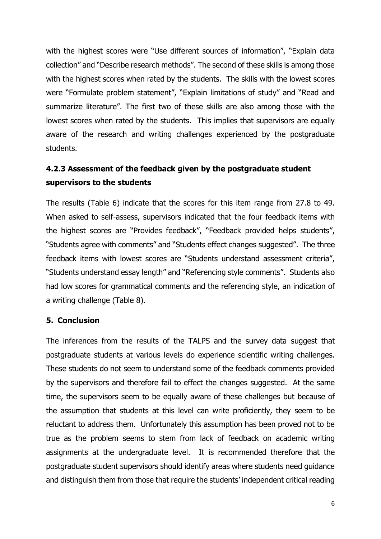with the highest scores were "Use different sources of information", "Explain data collection" and "Describe research methods". The second of these skills is among those with the highest scores when rated by the students. The skills with the lowest scores were "Formulate problem statement", "Explain limitations of study" and "Read and summarize literature". The first two of these skills are also among those with the lowest scores when rated by the students. This implies that supervisors are equally aware of the research and writing challenges experienced by the postgraduate students.

# **4.2.3 Assessment of the feedback given by the postgraduate student supervisors to the students**

The results (Table 6) indicate that the scores for this item range from 27.8 to 49. When asked to self-assess, supervisors indicated that the four feedback items with the highest scores are "Provides feedback", "Feedback provided helps students", "Students agree with comments" and "Students effect changes suggested". The three feedback items with lowest scores are "Students understand assessment criteria", "Students understand essay length" and "Referencing style comments". Students also had low scores for grammatical comments and the referencing style, an indication of a writing challenge (Table 8).

### **5. Conclusion**

The inferences from the results of the TALPS and the survey data suggest that postgraduate students at various levels do experience scientific writing challenges. These students do not seem to understand some of the feedback comments provided by the supervisors and therefore fail to effect the changes suggested. At the same time, the supervisors seem to be equally aware of these challenges but because of the assumption that students at this level can write proficiently, they seem to be reluctant to address them. Unfortunately this assumption has been proved not to be true as the problem seems to stem from lack of feedback on academic writing assignments at the undergraduate level. It is recommended therefore that the postgraduate student supervisors should identify areas where students need guidance and distinguish them from those that require the students' independent critical reading